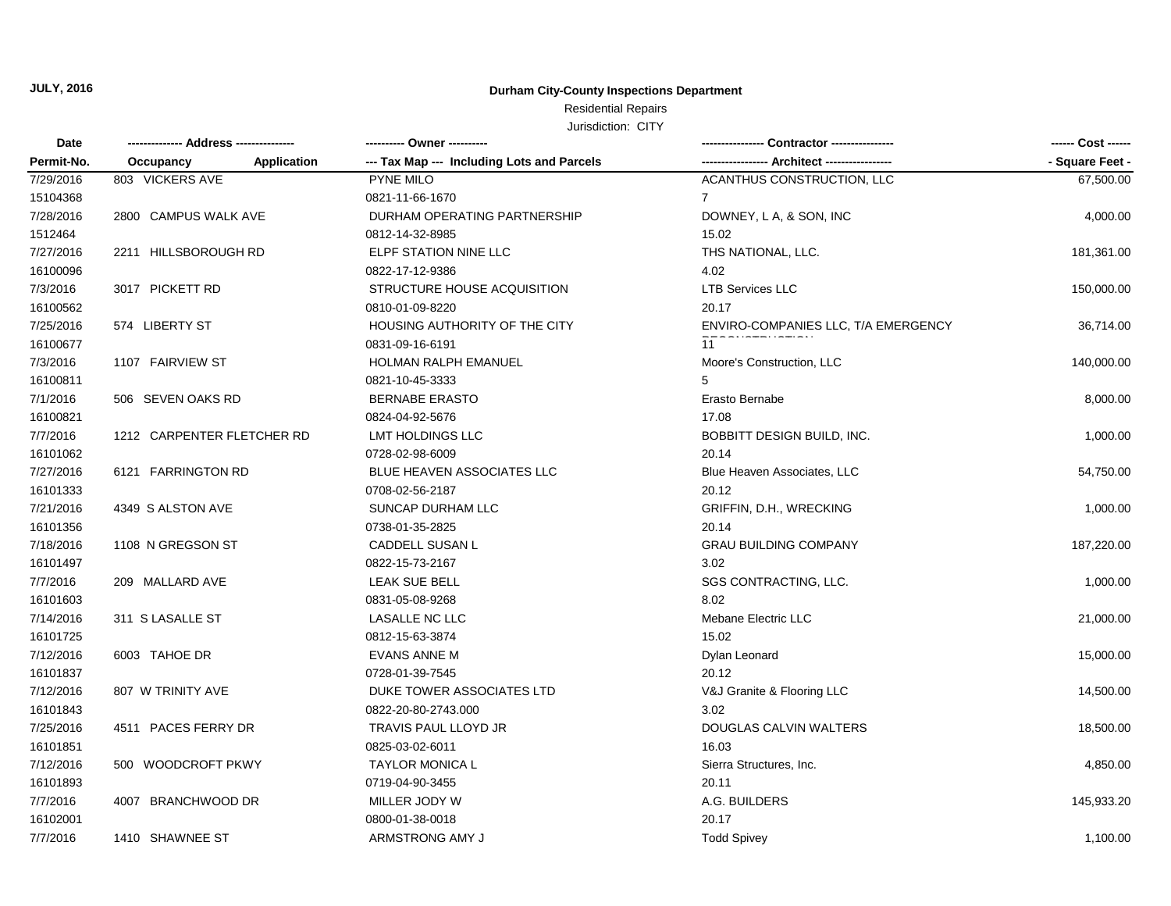### **Durham City-County Inspections Department**

## Residential Repairs

| Date       |                                 | ---------- Owner ----------                |                                     |                 |
|------------|---------------------------------|--------------------------------------------|-------------------------------------|-----------------|
| Permit-No. | Occupancy<br><b>Application</b> | --- Tax Map --- Including Lots and Parcels |                                     | - Square Feet - |
| 7/29/2016  | 803 VICKERS AVE                 | PYNE MILO                                  | ACANTHUS CONSTRUCTION, LLC          | 67,500.00       |
| 15104368   |                                 | 0821-11-66-1670                            | 7                                   |                 |
| 7/28/2016  | 2800 CAMPUS WALK AVE            | DURHAM OPERATING PARTNERSHIP               | DOWNEY, L A, & SON, INC             | 4,000.00        |
| 1512464    |                                 | 0812-14-32-8985                            | 15.02                               |                 |
| 7/27/2016  | 2211 HILLSBOROUGH RD            | ELPF STATION NINE LLC                      | THS NATIONAL, LLC.                  | 181,361.00      |
| 16100096   |                                 | 0822-17-12-9386                            | 4.02                                |                 |
| 7/3/2016   | 3017 PICKETT RD                 | STRUCTURE HOUSE ACQUISITION                | <b>LTB Services LLC</b>             | 150,000.00      |
| 16100562   |                                 | 0810-01-09-8220                            | 20.17                               |                 |
| 7/25/2016  | 574 LIBERTY ST                  | HOUSING AUTHORITY OF THE CITY              | ENVIRO-COMPANIES LLC, T/A EMERGENCY | 36,714.00       |
| 16100677   |                                 | 0831-09-16-6191                            | 11                                  |                 |
| 7/3/2016   | 1107 FAIRVIEW ST                | HOLMAN RALPH EMANUEL                       | Moore's Construction, LLC           | 140,000.00      |
| 16100811   |                                 | 0821-10-45-3333                            | 5                                   |                 |
| 7/1/2016   | 506 SEVEN OAKS RD               | <b>BERNABE ERASTO</b>                      | Erasto Bernabe                      | 8,000.00        |
| 16100821   |                                 | 0824-04-92-5676                            | 17.08                               |                 |
| 7/7/2016   | 1212 CARPENTER FLETCHER RD      | <b>LMT HOLDINGS LLC</b>                    | BOBBITT DESIGN BUILD, INC.          | 1,000.00        |
| 16101062   |                                 | 0728-02-98-6009                            | 20.14                               |                 |
| 7/27/2016  | 6121 FARRINGTON RD              | BLUE HEAVEN ASSOCIATES LLC                 | Blue Heaven Associates, LLC         | 54,750.00       |
| 16101333   |                                 | 0708-02-56-2187                            | 20.12                               |                 |
| 7/21/2016  | 4349 S ALSTON AVE               | SUNCAP DURHAM LLC                          | GRIFFIN, D.H., WRECKING             | 1,000.00        |
| 16101356   |                                 | 0738-01-35-2825                            | 20.14                               |                 |
| 7/18/2016  | 1108 N GREGSON ST               | CADDELL SUSAN L                            | <b>GRAU BUILDING COMPANY</b>        | 187,220.00      |
| 16101497   |                                 | 0822-15-73-2167                            | 3.02                                |                 |
| 7/7/2016   | 209 MALLARD AVE                 | LEAK SUE BELL                              | SGS CONTRACTING, LLC.               | 1,000.00        |
| 16101603   |                                 | 0831-05-08-9268                            | 8.02                                |                 |
| 7/14/2016  | 311 S LASALLE ST                | <b>LASALLE NC LLC</b>                      | Mebane Electric LLC                 | 21,000.00       |
| 16101725   |                                 | 0812-15-63-3874                            | 15.02                               |                 |
| 7/12/2016  | 6003 TAHOE DR                   | <b>EVANS ANNE M</b>                        | Dylan Leonard                       | 15,000.00       |
| 16101837   |                                 | 0728-01-39-7545                            | 20.12                               |                 |
| 7/12/2016  | 807 W TRINITY AVE               | DUKE TOWER ASSOCIATES LTD                  | V&J Granite & Flooring LLC          | 14,500.00       |
| 16101843   |                                 | 0822-20-80-2743.000                        | 3.02                                |                 |
| 7/25/2016  | 4511 PACES FERRY DR             | TRAVIS PAUL LLOYD JR                       | DOUGLAS CALVIN WALTERS              | 18,500.00       |
| 16101851   |                                 | 0825-03-02-6011                            | 16.03                               |                 |
| 7/12/2016  | 500 WOODCROFT PKWY              | <b>TAYLOR MONICA L</b>                     | Sierra Structures, Inc.             | 4,850.00        |
| 16101893   |                                 | 0719-04-90-3455                            | 20.11                               |                 |
| 7/7/2016   | 4007 BRANCHWOOD DR              | MILLER JODY W                              | A.G. BUILDERS                       | 145,933.20      |
| 16102001   |                                 | 0800-01-38-0018                            | 20.17                               |                 |
| 7/7/2016   | 1410 SHAWNEE ST                 | ARMSTRONG AMY J                            | <b>Todd Spivey</b>                  | 1,100.00        |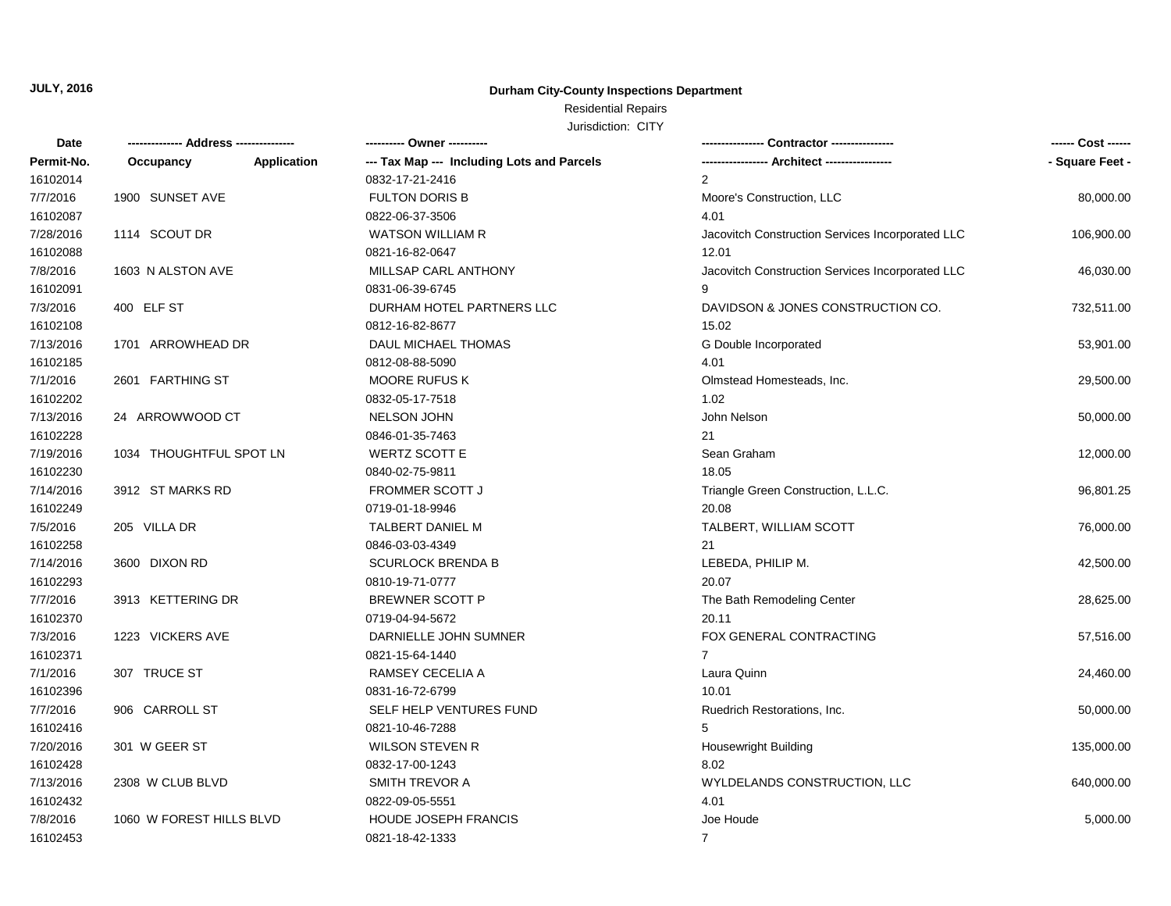### **Durham City-County Inspections Department**

# Residential Repairs

| <b>Date</b> |                          |             | ---------- Owner ----------                |                                                  | ------ Cost ------ |
|-------------|--------------------------|-------------|--------------------------------------------|--------------------------------------------------|--------------------|
| Permit-No.  | Occupancy                | Application | --- Tax Map --- Including Lots and Parcels |                                                  | - Square Feet -    |
| 16102014    |                          |             | 0832-17-21-2416                            | $\overline{2}$                                   |                    |
| 7/7/2016    | 1900 SUNSET AVE          |             | <b>FULTON DORIS B</b>                      | Moore's Construction, LLC                        | 80,000.00          |
| 16102087    |                          |             | 0822-06-37-3506                            | 4.01                                             |                    |
| 7/28/2016   | 1114 SCOUT DR            |             | <b>WATSON WILLIAM R</b>                    | Jacovitch Construction Services Incorporated LLC | 106,900.00         |
| 16102088    |                          |             | 0821-16-82-0647                            | 12.01                                            |                    |
| 7/8/2016    | 1603 N ALSTON AVE        |             | MILLSAP CARL ANTHONY                       | Jacovitch Construction Services Incorporated LLC | 46,030.00          |
| 16102091    |                          |             | 0831-06-39-6745                            | 9                                                |                    |
| 7/3/2016    | 400 ELF ST               |             | DURHAM HOTEL PARTNERS LLC                  | DAVIDSON & JONES CONSTRUCTION CO.                | 732,511.00         |
| 16102108    |                          |             | 0812-16-82-8677                            | 15.02                                            |                    |
| 7/13/2016   | 1701 ARROWHEAD DR        |             | DAUL MICHAEL THOMAS                        | G Double Incorporated                            | 53,901.00          |
| 16102185    |                          |             | 0812-08-88-5090                            | 4.01                                             |                    |
| 7/1/2016    | 2601 FARTHING ST         |             | <b>MOORE RUFUS K</b>                       | Olmstead Homesteads, Inc.                        | 29,500.00          |
| 16102202    |                          |             | 0832-05-17-7518                            | 1.02                                             |                    |
| 7/13/2016   | 24 ARROWWOOD CT          |             | <b>NELSON JOHN</b>                         | John Nelson                                      | 50,000.00          |
| 16102228    |                          |             | 0846-01-35-7463                            | 21                                               |                    |
| 7/19/2016   | 1034 THOUGHTFUL SPOT LN  |             | <b>WERTZ SCOTT E</b>                       | Sean Graham                                      | 12,000.00          |
| 16102230    |                          |             | 0840-02-75-9811                            | 18.05                                            |                    |
| 7/14/2016   | 3912 ST MARKS RD         |             | <b>FROMMER SCOTT J</b>                     | Triangle Green Construction, L.L.C.              | 96,801.25          |
| 16102249    |                          |             | 0719-01-18-9946                            | 20.08                                            |                    |
| 7/5/2016    | 205 VILLA DR             |             | TALBERT DANIEL M                           | TALBERT, WILLIAM SCOTT                           | 76,000.00          |
| 16102258    |                          |             | 0846-03-03-4349                            | 21                                               |                    |
| 7/14/2016   | 3600 DIXON RD            |             | <b>SCURLOCK BRENDA B</b>                   | LEBEDA, PHILIP M.                                | 42,500.00          |
| 16102293    |                          |             | 0810-19-71-0777                            | 20.07                                            |                    |
| 7/7/2016    | 3913 KETTERING DR        |             | <b>BREWNER SCOTT P</b>                     | The Bath Remodeling Center                       | 28,625.00          |
| 16102370    |                          |             | 0719-04-94-5672                            | 20.11                                            |                    |
| 7/3/2016    | 1223 VICKERS AVE         |             | DARNIELLE JOHN SUMNER                      | FOX GENERAL CONTRACTING                          | 57,516.00          |
| 16102371    |                          |             | 0821-15-64-1440                            | $\overline{7}$                                   |                    |
| 7/1/2016    | 307 TRUCE ST             |             | RAMSEY CECELIA A                           | Laura Quinn                                      | 24,460.00          |
| 16102396    |                          |             | 0831-16-72-6799                            | 10.01                                            |                    |
| 7/7/2016    | 906 CARROLL ST           |             | SELF HELP VENTURES FUND                    | Ruedrich Restorations, Inc.                      | 50,000.00          |
| 16102416    |                          |             | 0821-10-46-7288                            | 5                                                |                    |
| 7/20/2016   | 301 W GEER ST            |             | <b>WILSON STEVEN R</b>                     | <b>Housewright Building</b>                      | 135,000.00         |
| 16102428    |                          |             | 0832-17-00-1243                            | 8.02                                             |                    |
| 7/13/2016   | 2308 W CLUB BLVD         |             | SMITH TREVOR A                             | WYLDELANDS CONSTRUCTION, LLC                     | 640,000.00         |
| 16102432    |                          |             | 0822-09-05-5551                            | 4.01                                             |                    |
| 7/8/2016    | 1060 W FOREST HILLS BLVD |             | <b>HOUDE JOSEPH FRANCIS</b>                | Joe Houde                                        | 5,000.00           |
| 16102453    |                          |             | 0821-18-42-1333                            | $\overline{7}$                                   |                    |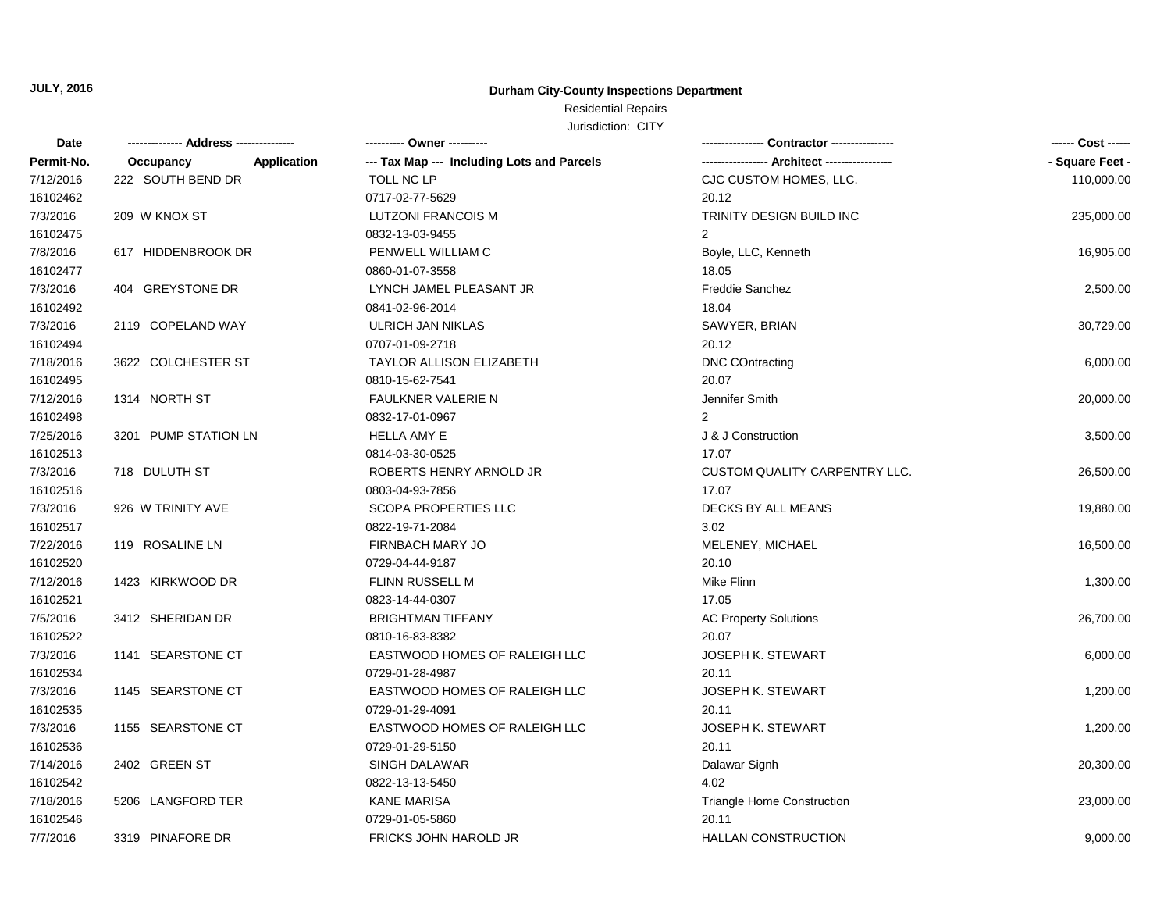### **Durham City-County Inspections Department**

## Residential Repairs

| Date       |                          | ---------- Owner ----------                |                                      | ------ Cost ------ |
|------------|--------------------------|--------------------------------------------|--------------------------------------|--------------------|
| Permit-No. | Application<br>Occupancy | --- Tax Map --- Including Lots and Parcels |                                      | - Square Feet -    |
| 7/12/2016  | 222 SOUTH BEND DR        | TOLL NC LP                                 | CJC CUSTOM HOMES, LLC.               | 110,000.00         |
| 16102462   |                          | 0717-02-77-5629                            | 20.12                                |                    |
| 7/3/2016   | 209 W KNOX ST            | <b>LUTZONI FRANCOIS M</b>                  | TRINITY DESIGN BUILD INC             | 235,000.00         |
| 16102475   |                          | 0832-13-03-9455                            | 2                                    |                    |
| 7/8/2016   | 617 HIDDENBROOK DR       | PENWELL WILLIAM C                          | Boyle, LLC, Kenneth                  | 16,905.00          |
| 16102477   |                          | 0860-01-07-3558                            | 18.05                                |                    |
| 7/3/2016   | 404 GREYSTONE DR         | LYNCH JAMEL PLEASANT JR                    | <b>Freddie Sanchez</b>               | 2,500.00           |
| 16102492   |                          | 0841-02-96-2014                            | 18.04                                |                    |
| 7/3/2016   | 2119 COPELAND WAY        | ULRICH JAN NIKLAS                          | SAWYER, BRIAN                        | 30,729.00          |
| 16102494   |                          | 0707-01-09-2718                            | 20.12                                |                    |
| 7/18/2016  | 3622 COLCHESTER ST       | TAYLOR ALLISON ELIZABETH                   | <b>DNC COntracting</b>               | 6,000.00           |
| 16102495   |                          | 0810-15-62-7541                            | 20.07                                |                    |
| 7/12/2016  | 1314 NORTH ST            | <b>FAULKNER VALERIE N</b>                  | Jennifer Smith                       | 20,000.00          |
| 16102498   |                          | 0832-17-01-0967                            | $\mathcal{P}$                        |                    |
| 7/25/2016  | 3201 PUMP STATION LN     | <b>HELLA AMY E</b>                         | J & J Construction                   | 3,500.00           |
| 16102513   |                          | 0814-03-30-0525                            | 17.07                                |                    |
| 7/3/2016   | 718 DULUTH ST            | ROBERTS HENRY ARNOLD JR                    | <b>CUSTOM QUALITY CARPENTRY LLC.</b> | 26,500.00          |
| 16102516   |                          | 0803-04-93-7856                            | 17.07                                |                    |
| 7/3/2016   | 926 W TRINITY AVE        | <b>SCOPA PROPERTIES LLC</b>                | DECKS BY ALL MEANS                   | 19,880.00          |
| 16102517   |                          | 0822-19-71-2084                            | 3.02                                 |                    |
| 7/22/2016  | 119 ROSALINE LN          | FIRNBACH MARY JO                           | MELENEY, MICHAEL                     | 16,500.00          |
| 16102520   |                          | 0729-04-44-9187                            | 20.10                                |                    |
| 7/12/2016  | 1423 KIRKWOOD DR         | FLINN RUSSELL M                            | Mike Flinn                           | 1,300.00           |
| 16102521   |                          | 0823-14-44-0307                            | 17.05                                |                    |
| 7/5/2016   | 3412 SHERIDAN DR         | <b>BRIGHTMAN TIFFANY</b>                   | <b>AC Property Solutions</b>         | 26,700.00          |
| 16102522   |                          | 0810-16-83-8382                            | 20.07                                |                    |
| 7/3/2016   | 1141 SEARSTONE CT        | EASTWOOD HOMES OF RALEIGH LLC              | <b>JOSEPH K. STEWART</b>             | 6,000.00           |
| 16102534   |                          | 0729-01-28-4987                            | 20.11                                |                    |
| 7/3/2016   | 1145 SEARSTONE CT        | EASTWOOD HOMES OF RALEIGH LLC              | <b>JOSEPH K. STEWART</b>             | 1,200.00           |
| 16102535   |                          | 0729-01-29-4091                            | 20.11                                |                    |
| 7/3/2016   | 1155 SEARSTONE CT        | EASTWOOD HOMES OF RALEIGH LLC              | JOSEPH K. STEWART                    | 1,200.00           |
| 16102536   |                          | 0729-01-29-5150                            | 20.11                                |                    |
| 7/14/2016  | 2402 GREEN ST            | SINGH DALAWAR                              | Dalawar Signh                        | 20,300.00          |
| 16102542   |                          | 0822-13-13-5450                            | 4.02                                 |                    |
| 7/18/2016  | 5206 LANGFORD TER        | <b>KANE MARISA</b>                         | <b>Triangle Home Construction</b>    | 23,000.00          |
| 16102546   |                          | 0729-01-05-5860                            | 20.11                                |                    |
| 7/7/2016   | 3319 PINAFORE DR         | FRICKS JOHN HAROLD JR                      | <b>HALLAN CONSTRUCTION</b>           | 9,000.00           |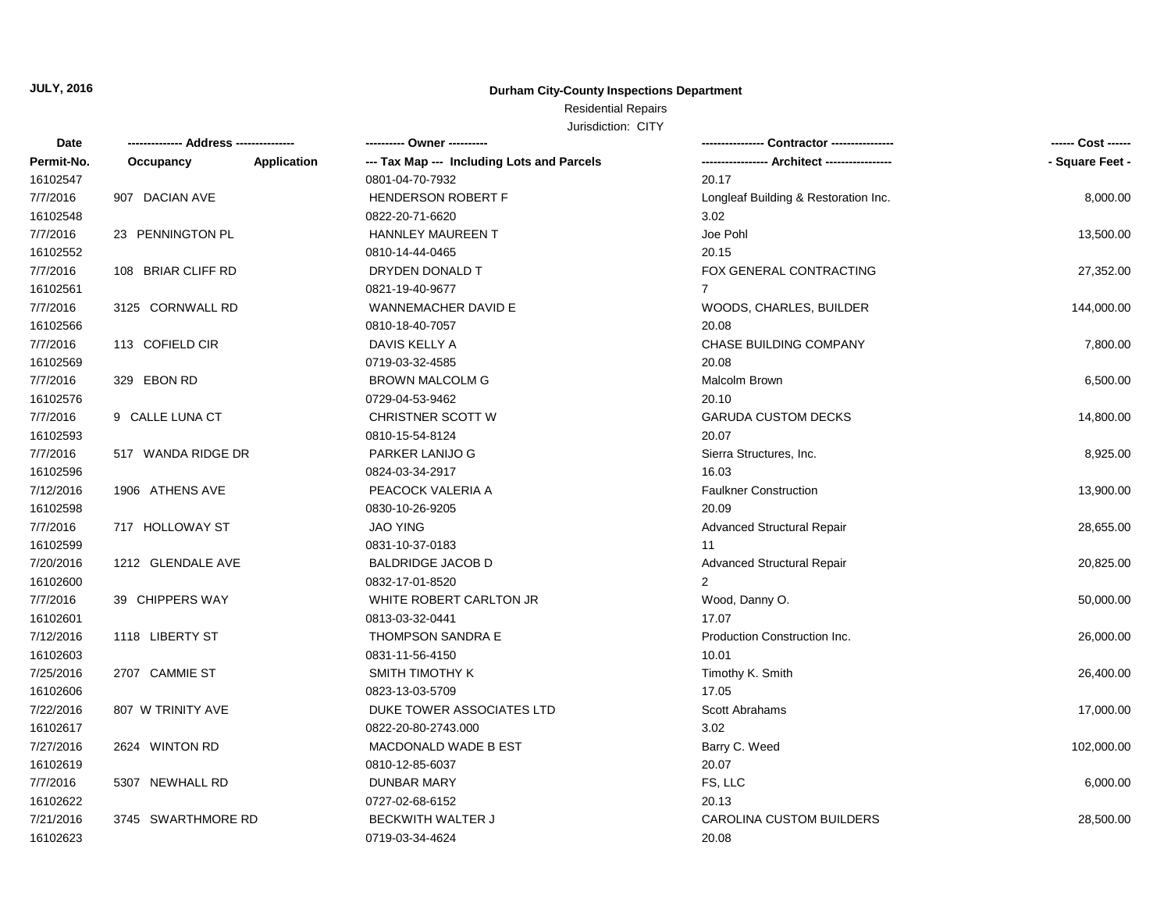### **Durham City-County Inspections Department**

## Residential Repairs

| Date       | -------------- Address --------------- | ---------- Owner ----------                |                                      | ------ Cost ------ |
|------------|----------------------------------------|--------------------------------------------|--------------------------------------|--------------------|
| Permit-No. | Application<br>Occupancy               | --- Tax Map --- Including Lots and Parcels |                                      | - Square Feet -    |
| 16102547   |                                        | 0801-04-70-7932                            | 20.17                                |                    |
| 7/7/2016   | 907 DACIAN AVE                         | HENDERSON ROBERT F                         | Longleaf Building & Restoration Inc. | 8,000.00           |
| 16102548   |                                        | 0822-20-71-6620                            | 3.02                                 |                    |
| 7/7/2016   | 23 PENNINGTON PL                       | <b>HANNLEY MAUREEN T</b>                   | Joe Pohl                             | 13,500.00          |
| 16102552   |                                        | 0810-14-44-0465                            | 20.15                                |                    |
| 7/7/2016   | 108 BRIAR CLIFF RD                     | DRYDEN DONALD T                            | FOX GENERAL CONTRACTING              | 27,352.00          |
| 16102561   |                                        | 0821-19-40-9677                            | $\overline{7}$                       |                    |
| 7/7/2016   | 3125 CORNWALL RD                       | WANNEMACHER DAVID E                        | WOODS, CHARLES, BUILDER              | 144,000.00         |
| 16102566   |                                        | 0810-18-40-7057                            | 20.08                                |                    |
| 7/7/2016   | 113 COFIELD CIR                        | DAVIS KELLY A                              | CHASE BUILDING COMPANY               | 7,800.00           |
| 16102569   |                                        | 0719-03-32-4585                            | 20.08                                |                    |
| 7/7/2016   | 329 EBON RD                            | <b>BROWN MALCOLM G</b>                     | Malcolm Brown                        | 6,500.00           |
| 16102576   |                                        | 0729-04-53-9462                            | 20.10                                |                    |
| 7/7/2016   | 9 CALLE LUNA CT                        | CHRISTNER SCOTT W                          | <b>GARUDA CUSTOM DECKS</b>           | 14,800.00          |
| 16102593   |                                        | 0810-15-54-8124                            | 20.07                                |                    |
| 7/7/2016   | 517 WANDA RIDGE DR                     | PARKER LANIJO G                            | Sierra Structures, Inc.              | 8,925.00           |
| 16102596   |                                        | 0824-03-34-2917                            | 16.03                                |                    |
| 7/12/2016  | 1906 ATHENS AVE                        | PEACOCK VALERIA A                          | <b>Faulkner Construction</b>         | 13,900.00          |
| 16102598   |                                        | 0830-10-26-9205                            | 20.09                                |                    |
| 7/7/2016   | 717 HOLLOWAY ST                        | <b>JAO YING</b>                            | <b>Advanced Structural Repair</b>    | 28,655.00          |
| 16102599   |                                        | 0831-10-37-0183                            | 11                                   |                    |
| 7/20/2016  | 1212 GLENDALE AVE                      | <b>BALDRIDGE JACOB D</b>                   | <b>Advanced Structural Repair</b>    | 20,825.00          |
| 16102600   |                                        | 0832-17-01-8520                            | $\overline{2}$                       |                    |
| 7/7/2016   | 39 CHIPPERS WAY                        | WHITE ROBERT CARLTON JR                    | Wood, Danny O.                       | 50,000.00          |
| 16102601   |                                        | 0813-03-32-0441                            | 17.07                                |                    |
| 7/12/2016  | 1118 LIBERTY ST                        | THOMPSON SANDRA E                          | Production Construction Inc.         | 26,000.00          |
| 16102603   |                                        | 0831-11-56-4150                            | 10.01                                |                    |
| 7/25/2016  | 2707 CAMMIE ST                         | SMITH TIMOTHY K                            | Timothy K. Smith                     | 26,400.00          |
| 16102606   |                                        | 0823-13-03-5709                            | 17.05                                |                    |
| 7/22/2016  | 807 W TRINITY AVE                      | DUKE TOWER ASSOCIATES LTD                  | <b>Scott Abrahams</b>                | 17,000.00          |
| 16102617   |                                        | 0822-20-80-2743.000                        | 3.02                                 |                    |
| 7/27/2016  | 2624 WINTON RD                         | MACDONALD WADE B EST                       | Barry C. Weed                        | 102,000.00         |
| 16102619   |                                        | 0810-12-85-6037                            | 20.07                                |                    |
| 7/7/2016   | 5307 NEWHALL RD                        | <b>DUNBAR MARY</b>                         | FS, LLC                              | 6,000.00           |
| 16102622   |                                        | 0727-02-68-6152                            | 20.13                                |                    |
| 7/21/2016  | 3745 SWARTHMORE RD                     | <b>BECKWITH WALTER J</b>                   | <b>CAROLINA CUSTOM BUILDERS</b>      | 28,500.00          |
| 16102623   |                                        | 0719-03-34-4624                            | 20.08                                |                    |
|            |                                        |                                            |                                      |                    |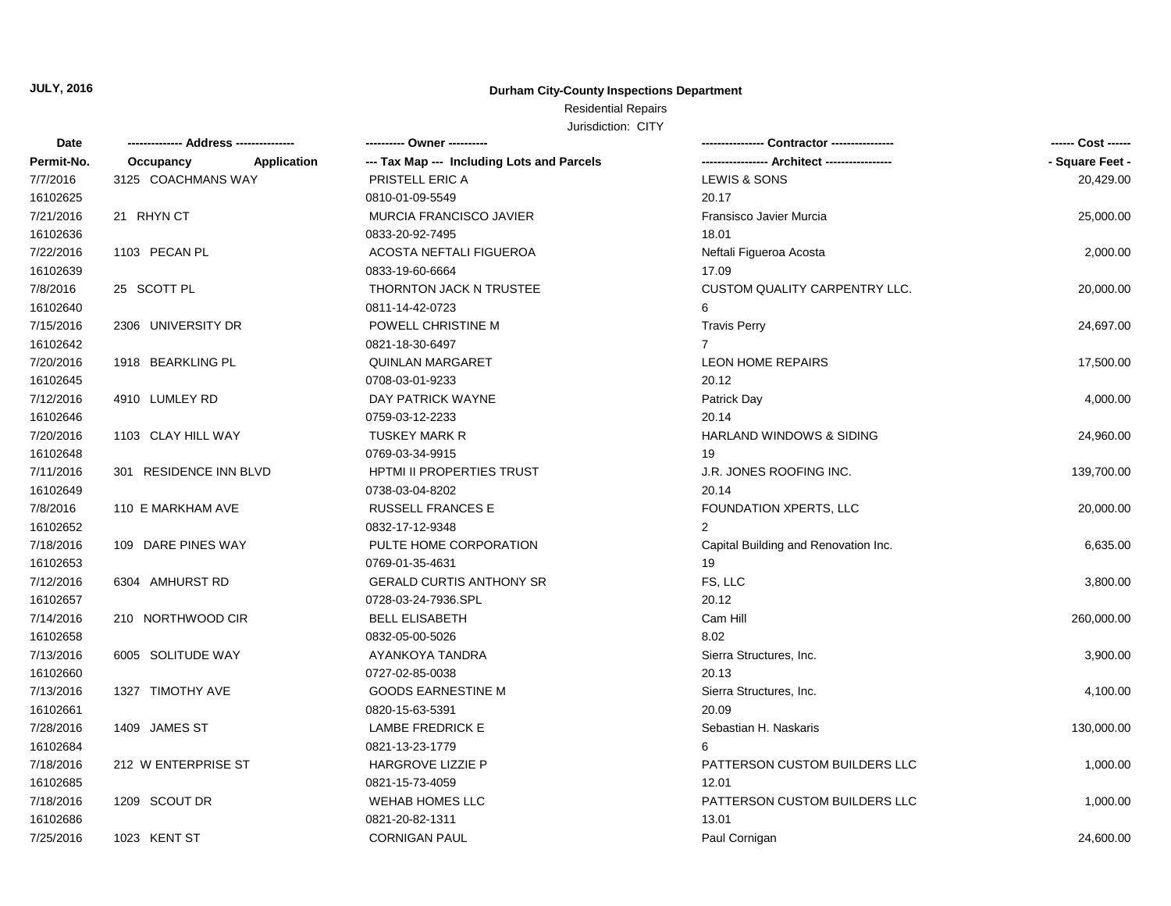## **Durham City-County Inspections Department**

## Residential Repairs

| Date       | ------------- Address -------------- | ---------- Owner ----------                |                                      | ------ Cost ------ |
|------------|--------------------------------------|--------------------------------------------|--------------------------------------|--------------------|
| Permit-No. | Occupancy<br>Application             | --- Tax Map --- Including Lots and Parcels | ---- Architect ------------------    | - Square Feet -    |
| 7/7/2016   | 3125 COACHMANS WAY                   | PRISTELL ERIC A                            | LEWIS & SONS                         | 20,429.00          |
| 16102625   |                                      | 0810-01-09-5549                            | 20.17                                |                    |
| 7/21/2016  | 21 RHYN CT                           | <b>MURCIA FRANCISCO JAVIER</b>             | Fransisco Javier Murcia              | 25,000.00          |
| 16102636   |                                      | 0833-20-92-7495                            | 18.01                                |                    |
| 7/22/2016  | 1103 PECAN PL                        | <b>ACOSTA NEFTALI FIGUEROA</b>             | Neftali Figueroa Acosta              | 2,000.00           |
| 16102639   |                                      | 0833-19-60-6664                            | 17.09                                |                    |
| 7/8/2016   | 25 SCOTT PL                          | THORNTON JACK N TRUSTEE                    | CUSTOM QUALITY CARPENTRY LLC.        | 20,000.00          |
| 16102640   |                                      | 0811-14-42-0723                            | 6                                    |                    |
| 7/15/2016  | 2306 UNIVERSITY DR                   | POWELL CHRISTINE M                         | <b>Travis Perry</b>                  | 24,697.00          |
| 16102642   |                                      | 0821-18-30-6497                            | 7                                    |                    |
| 7/20/2016  | 1918 BEARKLING PL                    | <b>QUINLAN MARGARET</b>                    | <b>LEON HOME REPAIRS</b>             | 17,500.00          |
| 16102645   |                                      | 0708-03-01-9233                            | 20.12                                |                    |
| 7/12/2016  | 4910 LUMLEY RD                       | DAY PATRICK WAYNE                          | Patrick Day                          | 4,000.00           |
| 16102646   |                                      | 0759-03-12-2233                            | 20.14                                |                    |
| 7/20/2016  | 1103 CLAY HILL WAY                   | <b>TUSKEY MARK R</b>                       | <b>HARLAND WINDOWS &amp; SIDING</b>  | 24,960.00          |
| 16102648   |                                      | 0769-03-34-9915                            | 19                                   |                    |
| 7/11/2016  | 301 RESIDENCE INN BLVD               | <b>HPTMI II PROPERTIES TRUST</b>           | J.R. JONES ROOFING INC.              | 139,700.00         |
| 16102649   |                                      | 0738-03-04-8202                            | 20.14                                |                    |
| 7/8/2016   | 110 E MARKHAM AVE                    | <b>RUSSELL FRANCES E</b>                   | FOUNDATION XPERTS, LLC               | 20,000.00          |
| 16102652   |                                      | 0832-17-12-9348                            |                                      |                    |
| 7/18/2016  | 109 DARE PINES WAY                   | PULTE HOME CORPORATION                     | Capital Building and Renovation Inc. | 6,635.00           |
| 16102653   |                                      | 0769-01-35-4631                            | 19                                   |                    |
| 7/12/2016  | 6304 AMHURST RD                      | <b>GERALD CURTIS ANTHONY SR</b>            | FS, LLC                              | 3,800.00           |
| 16102657   |                                      | 0728-03-24-7936.SPL                        | 20.12                                |                    |
| 7/14/2016  | 210 NORTHWOOD CIR                    | <b>BELL ELISABETH</b>                      | Cam Hill                             | 260,000.00         |
| 16102658   |                                      | 0832-05-00-5026                            | 8.02                                 |                    |
| 7/13/2016  | 6005 SOLITUDE WAY                    | AYANKOYA TANDRA                            | Sierra Structures, Inc.              | 3,900.00           |
| 16102660   |                                      | 0727-02-85-0038                            | 20.13                                |                    |
| 7/13/2016  | 1327 TIMOTHY AVE                     | <b>GOODS EARNESTINE M</b>                  | Sierra Structures, Inc.              | 4,100.00           |
| 16102661   |                                      | 0820-15-63-5391                            | 20.09                                |                    |
| 7/28/2016  | 1409 JAMES ST                        | <b>LAMBE FREDRICK E</b>                    | Sebastian H. Naskaris                | 130,000.00         |
| 16102684   |                                      | 0821-13-23-1779                            | 6                                    |                    |
| 7/18/2016  | 212 W ENTERPRISE ST                  | <b>HARGROVE LIZZIE P</b>                   | PATTERSON CUSTOM BUILDERS LLC        | 1,000.00           |
| 16102685   |                                      | 0821-15-73-4059                            | 12.01                                |                    |
| 7/18/2016  | 1209 SCOUT DR                        | WEHAB HOMES LLC                            | PATTERSON CUSTOM BUILDERS LLC        | 1,000.00           |
| 16102686   |                                      | 0821-20-82-1311                            | 13.01                                |                    |
| 7/25/2016  | 1023 KENT ST                         | <b>CORNIGAN PAUL</b>                       | Paul Cornigan                        | 24,600.00          |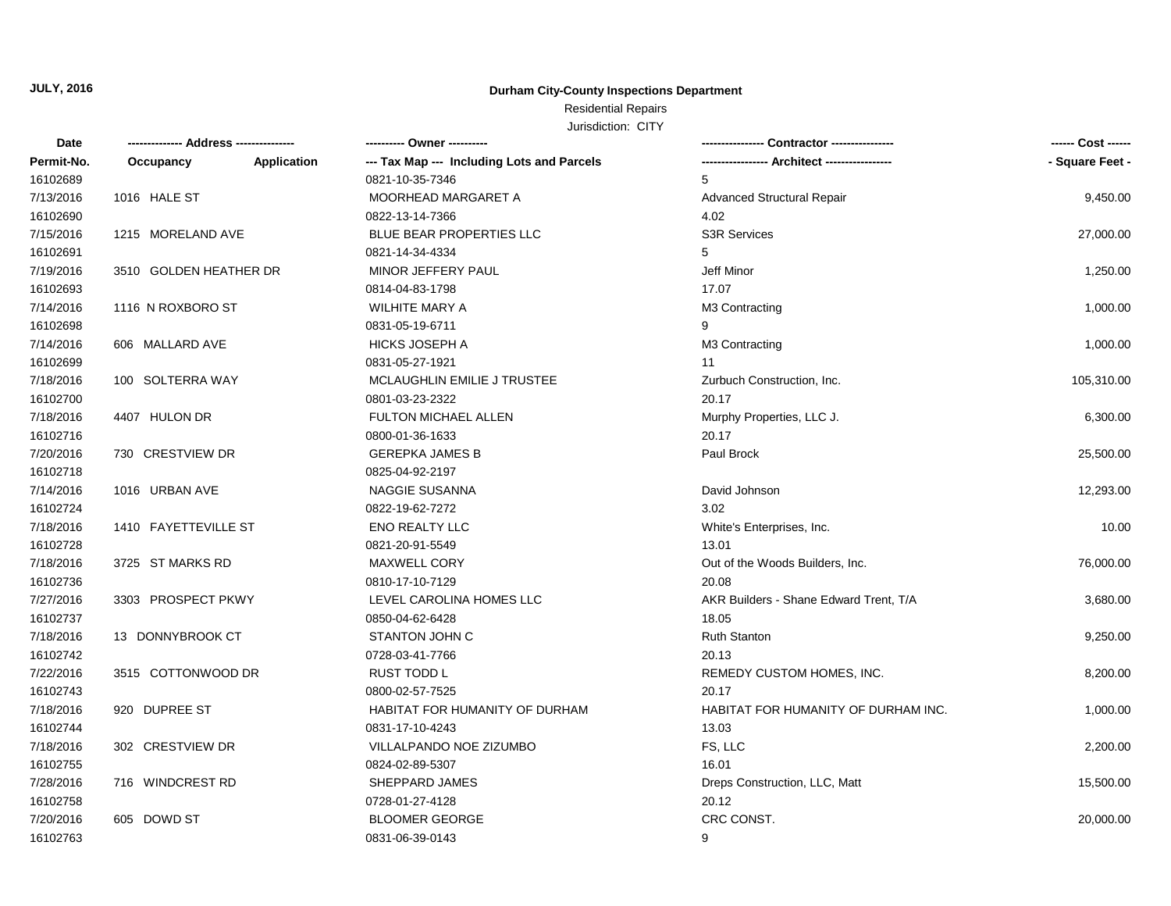### **Durham City-County Inspections Department**

## Residential Repairs

| Date       |                        |                    | ---------- Owner ----------                |                                        | ------ Cost ------ |
|------------|------------------------|--------------------|--------------------------------------------|----------------------------------------|--------------------|
| Permit-No. | Occupancy              | <b>Application</b> | --- Tax Map --- Including Lots and Parcels |                                        | - Square Feet -    |
| 16102689   |                        |                    | 0821-10-35-7346                            | 5                                      |                    |
| 7/13/2016  | 1016 HALE ST           |                    | MOORHEAD MARGARET A                        | <b>Advanced Structural Repair</b>      | 9,450.00           |
| 16102690   |                        |                    | 0822-13-14-7366                            | 4.02                                   |                    |
| 7/15/2016  | 1215 MORELAND AVE      |                    | BLUE BEAR PROPERTIES LLC                   | <b>S3R Services</b>                    | 27,000.00          |
| 16102691   |                        |                    | 0821-14-34-4334                            | 5                                      |                    |
| 7/19/2016  | 3510 GOLDEN HEATHER DR |                    | MINOR JEFFERY PAUL                         | Jeff Minor                             | 1,250.00           |
| 16102693   |                        |                    | 0814-04-83-1798                            | 17.07                                  |                    |
| 7/14/2016  | 1116 N ROXBORO ST      |                    | WILHITE MARY A                             | M3 Contracting                         | 1,000.00           |
| 16102698   |                        |                    | 0831-05-19-6711                            | 9                                      |                    |
| 7/14/2016  | 606 MALLARD AVE        |                    | <b>HICKS JOSEPH A</b>                      | M3 Contracting                         | 1,000.00           |
| 16102699   |                        |                    | 0831-05-27-1921                            | 11                                     |                    |
| 7/18/2016  | 100 SOLTERRA WAY       |                    | MCLAUGHLIN EMILIE J TRUSTEE                | Zurbuch Construction, Inc.             | 105,310.00         |
| 16102700   |                        |                    | 0801-03-23-2322                            | 20.17                                  |                    |
| 7/18/2016  | 4407 HULON DR          |                    | FULTON MICHAEL ALLEN                       | Murphy Properties, LLC J.              | 6,300.00           |
| 16102716   |                        |                    | 0800-01-36-1633                            | 20.17                                  |                    |
| 7/20/2016  | 730 CRESTVIEW DR       |                    | <b>GEREPKA JAMES B</b>                     | Paul Brock                             | 25,500.00          |
| 16102718   |                        |                    | 0825-04-92-2197                            |                                        |                    |
| 7/14/2016  | 1016 URBAN AVE         |                    | <b>NAGGIE SUSANNA</b>                      | David Johnson                          | 12,293.00          |
| 16102724   |                        |                    | 0822-19-62-7272                            | 3.02                                   |                    |
| 7/18/2016  | 1410 FAYETTEVILLE ST   |                    | <b>ENO REALTY LLC</b>                      | White's Enterprises, Inc.              | 10.00              |
| 16102728   |                        |                    | 0821-20-91-5549                            | 13.01                                  |                    |
| 7/18/2016  | 3725 ST MARKS RD       |                    | <b>MAXWELL CORY</b>                        | Out of the Woods Builders, Inc.        | 76,000.00          |
| 16102736   |                        |                    | 0810-17-10-7129                            | 20.08                                  |                    |
| 7/27/2016  | 3303 PROSPECT PKWY     |                    | LEVEL CAROLINA HOMES LLC                   | AKR Builders - Shane Edward Trent, T/A | 3,680.00           |
| 16102737   |                        |                    | 0850-04-62-6428                            | 18.05                                  |                    |
| 7/18/2016  | 13 DONNYBROOK CT       |                    | <b>STANTON JOHN C</b>                      | <b>Ruth Stanton</b>                    | 9,250.00           |
| 16102742   |                        |                    | 0728-03-41-7766                            | 20.13                                  |                    |
| 7/22/2016  | 3515 COTTONWOOD DR     |                    | <b>RUST TODD L</b>                         | REMEDY CUSTOM HOMES, INC.              | 8,200.00           |
| 16102743   |                        |                    | 0800-02-57-7525                            | 20.17                                  |                    |
| 7/18/2016  | 920 DUPREE ST          |                    | HABITAT FOR HUMANITY OF DURHAM             | HABITAT FOR HUMANITY OF DURHAM INC.    | 1,000.00           |
| 16102744   |                        |                    | 0831-17-10-4243                            | 13.03                                  |                    |
| 7/18/2016  | 302 CRESTVIEW DR       |                    | VILLALPANDO NOE ZIZUMBO                    | FS, LLC                                | 2,200.00           |
| 16102755   |                        |                    | 0824-02-89-5307                            | 16.01                                  |                    |
| 7/28/2016  | 716 WINDCREST RD       |                    | SHEPPARD JAMES                             | Dreps Construction, LLC, Matt          | 15,500.00          |
| 16102758   |                        |                    | 0728-01-27-4128                            | 20.12                                  |                    |
| 7/20/2016  | 605 DOWD ST            |                    | <b>BLOOMER GEORGE</b>                      | CRC CONST.                             | 20,000.00          |
| 16102763   |                        |                    | 0831-06-39-0143                            | 9                                      |                    |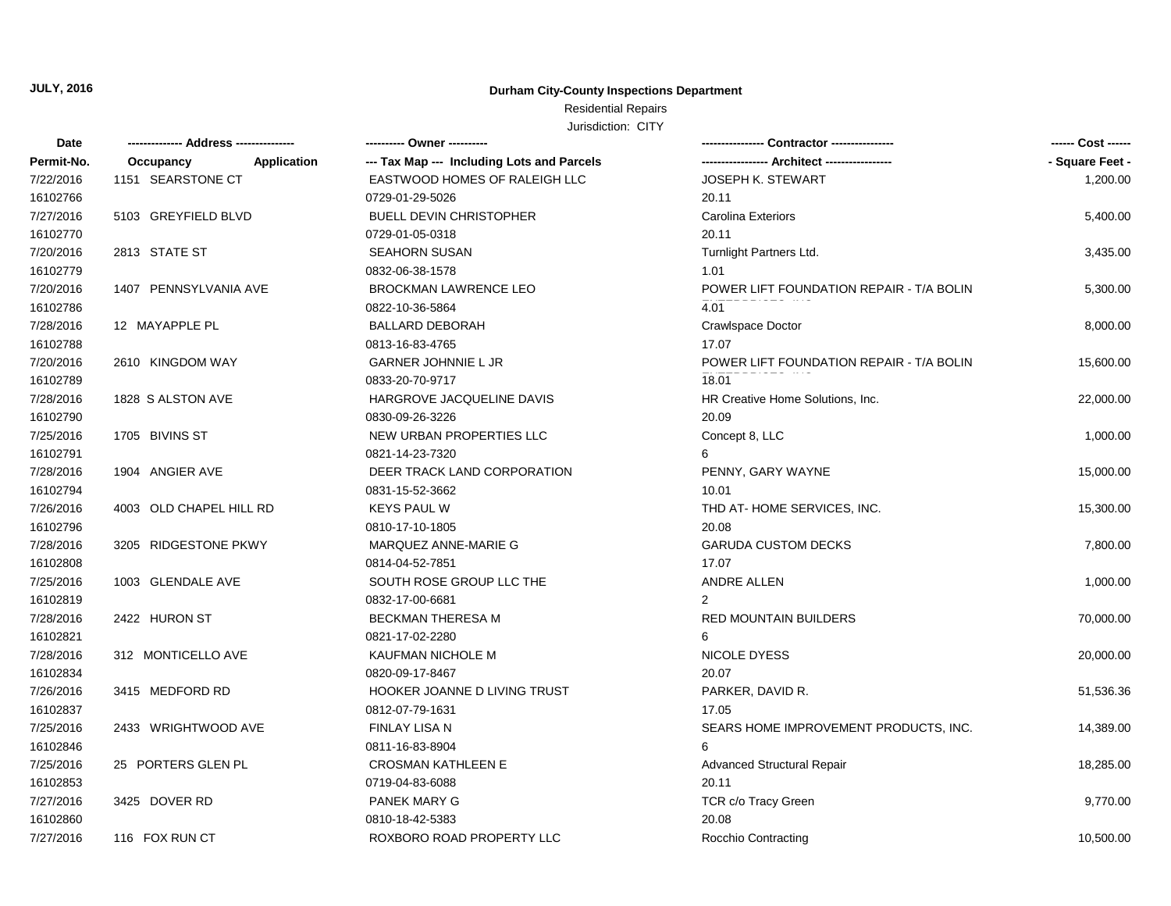### **Durham City-County Inspections Department**

## Residential Repairs

| Date       | -------------- Address --------------- | ---------- Owner ----------                |                                          | ------ Cost ------ |
|------------|----------------------------------------|--------------------------------------------|------------------------------------------|--------------------|
| Permit-No. | Application<br>Occupancy               | --- Tax Map --- Including Lots and Parcels |                                          | - Square Feet -    |
| 7/22/2016  | 1151 SEARSTONE CT                      | EASTWOOD HOMES OF RALEIGH LLC              | JOSEPH K. STEWART                        | 1,200.00           |
| 16102766   |                                        | 0729-01-29-5026                            | 20.11                                    |                    |
| 7/27/2016  | 5103 GREYFIELD BLVD                    | <b>BUELL DEVIN CHRISTOPHER</b>             | <b>Carolina Exteriors</b>                | 5,400.00           |
| 16102770   |                                        | 0729-01-05-0318                            | 20.11                                    |                    |
| 7/20/2016  | 2813 STATE ST                          | <b>SEAHORN SUSAN</b>                       | Turnlight Partners Ltd.                  | 3,435.00           |
| 16102779   |                                        | 0832-06-38-1578                            | 1.01                                     |                    |
| 7/20/2016  | 1407 PENNSYLVANIA AVE                  | <b>BROCKMAN LAWRENCE LEO</b>               | POWER LIFT FOUNDATION REPAIR - T/A BOLIN | 5,300.00           |
| 16102786   |                                        | 0822-10-36-5864                            | 4.01                                     |                    |
| 7/28/2016  | 12 MAYAPPLE PL                         | <b>BALLARD DEBORAH</b>                     | Crawlspace Doctor                        | 8,000.00           |
| 16102788   |                                        | 0813-16-83-4765                            | 17.07                                    |                    |
| 7/20/2016  | 2610 KINGDOM WAY                       | GARNER JOHNNIE L JR                        | POWER LIFT FOUNDATION REPAIR - T/A BOLIN | 15,600.00          |
| 16102789   |                                        | 0833-20-70-9717                            | 18.01                                    |                    |
| 7/28/2016  | 1828 S ALSTON AVE                      | HARGROVE JACQUELINE DAVIS                  | HR Creative Home Solutions, Inc.         | 22,000.00          |
| 16102790   |                                        | 0830-09-26-3226                            | 20.09                                    |                    |
| 7/25/2016  | 1705 BIVINS ST                         | NEW URBAN PROPERTIES LLC                   | Concept 8, LLC                           | 1,000.00           |
| 16102791   |                                        | 0821-14-23-7320                            | 6                                        |                    |
| 7/28/2016  | 1904 ANGIER AVE                        | DEER TRACK LAND CORPORATION                | PENNY, GARY WAYNE                        | 15,000.00          |
| 16102794   |                                        | 0831-15-52-3662                            | 10.01                                    |                    |
| 7/26/2016  | 4003 OLD CHAPEL HILL RD                | <b>KEYS PAUL W</b>                         | THD AT-HOME SERVICES, INC.               | 15,300.00          |
| 16102796   |                                        | 0810-17-10-1805                            | 20.08                                    |                    |
| 7/28/2016  | 3205 RIDGESTONE PKWY                   | MARQUEZ ANNE-MARIE G                       | <b>GARUDA CUSTOM DECKS</b>               | 7,800.00           |
| 16102808   |                                        | 0814-04-52-7851                            | 17.07                                    |                    |
| 7/25/2016  | 1003 GLENDALE AVE                      | SOUTH ROSE GROUP LLC THE                   | ANDRE ALLEN                              | 1,000.00           |
| 16102819   |                                        | 0832-17-00-6681                            | $\overline{2}$                           |                    |
| 7/28/2016  | 2422 HURON ST                          | <b>BECKMAN THERESA M</b>                   | <b>RED MOUNTAIN BUILDERS</b>             | 70,000.00          |
| 16102821   |                                        | 0821-17-02-2280                            | 6                                        |                    |
| 7/28/2016  | 312 MONTICELLO AVE                     | KAUFMAN NICHOLE M                          | NICOLE DYESS                             | 20,000.00          |
| 16102834   |                                        | 0820-09-17-8467                            | 20.07                                    |                    |
| 7/26/2016  | 3415 MEDFORD RD                        | HOOKER JOANNE D LIVING TRUST               | PARKER, DAVID R.                         | 51,536.36          |
| 16102837   |                                        | 0812-07-79-1631                            | 17.05                                    |                    |
| 7/25/2016  | 2433 WRIGHTWOOD AVE                    | FINLAY LISA N                              | SEARS HOME IMPROVEMENT PRODUCTS, INC.    | 14,389.00          |
| 16102846   |                                        | 0811-16-83-8904                            | 6                                        |                    |
| 7/25/2016  | 25 PORTERS GLEN PL                     | <b>CROSMAN KATHLEEN E</b>                  | <b>Advanced Structural Repair</b>        | 18,285.00          |
| 16102853   |                                        | 0719-04-83-6088                            | 20.11                                    |                    |
| 7/27/2016  | 3425 DOVER RD                          | PANEK MARY G                               | TCR c/o Tracy Green                      | 9,770.00           |
| 16102860   |                                        | 0810-18-42-5383                            | 20.08                                    |                    |
| 7/27/2016  | 116 FOX RUN CT                         | ROXBORO ROAD PROPERTY LLC                  | Rocchio Contracting                      | 10,500.00          |
|            |                                        |                                            |                                          |                    |